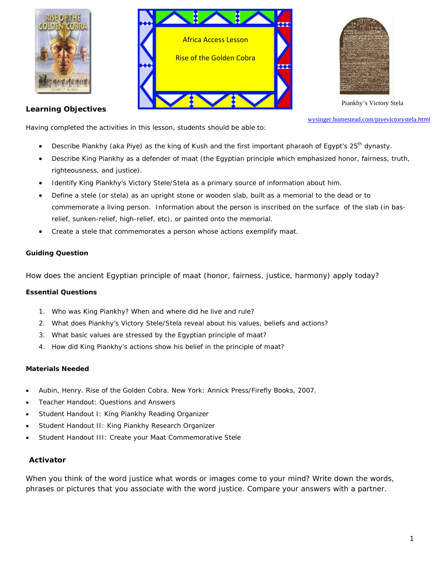





Piankhy's Victory Stela

**Learning Objectives** 

wysinger.homestead.com/piyevictorystela.html

Having completed the activities in this lesson, students should be able to:

- Describe Piankhy (aka Piye) as the king of Kush and the first important pharaoh of Egypt's 25<sup>th</sup> dynasty.
- Describe King Piankhy as a defender of *maat* (the Egyptian principle which emphasized honor, fairness, truth, righteousness, and justice).
- Identify King Piankhy's Victory Stele/Stela as a primary source of information about him.
- Define a stele (or stela) as an upright stone or wooden slab, built as a memorial to the dead or to commemorate a living person. Information about the person is inscribed on the surface of the slab (in basrelief, sunken-relief, high-relief, etc), or painted onto the memorial.
- Create a stele that commemorates a person whose actions exemplify *maat*.

## **Guiding Question**

How does the ancient Egyptian principle of *maat* (honor, fairness, justice, harmony) apply today?

## **Essential Questions**

- 1. Who was King Piankhy? When and where did he live and rule?
- 2. What does Piankhy's Victory Stele/Stela reveal about his values, beliefs and actions?
- 3. What basic values are stressed by the Egyptian principle of *maat*?
- 4. How did King Piankhy's actions show his belief in the principle of *maat*?

## **Materials Needed**

- Aubin, Henry. *Rise of the Golden Cobra*. New York: Annick Press/Firefly Books, 2007.
- Teacher Handout: Questions and Answers
- Student Handout I: King Piankhy Reading Organizer
- Student Handout II: King Piankhy Research Organizer
- Student Handout III: Create your Maat Commemorative Stele

## **Activator**

When you think of the word *justice* what words or images come to your mind? Write down the words, phrases or pictures that you associate with the word *justice*. Compare your answers with a partner.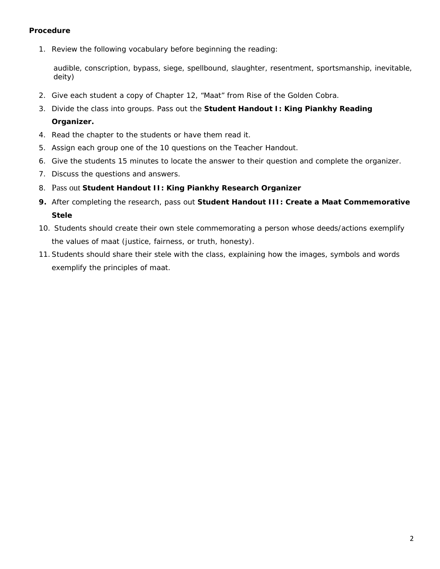# **Procedure**

1. Review the following vocabulary before beginning the reading:

audible, conscription, bypass, siege, spellbound, slaughter, resentment, sportsmanship, inevitable, deity)

- 2. Give each student a copy of Chapter 12, "*Maat*" from *Rise of the Golden Cobra*.
- 3. Divide the class into groups. Pass out the **Student Handout I: King Piankhy Reading Organizer.**
- 4. Read the chapter to the students or have them read it.
- 5. Assign each group one of the 10 questions on the Teacher Handout.
- 6. Give the students 15 minutes to locate the answer to their question and complete the organizer.
- 7. Discuss the questions and answers.
- 8. Pass out **Student Handout II: King Piankhy Research Organizer**
- **9.** After completing the research, pass out **Student Handout III: Create a** *Maat* **Commemorative Stele**
- 10. Students should create their own stele commemorating a person whose deeds/actions exemplify the values of *maat* (justice, fairness, or truth, honesty).
- 11.Students should share their stele with the class, explaining how the images, symbols and words exemplify the principles of *maat*.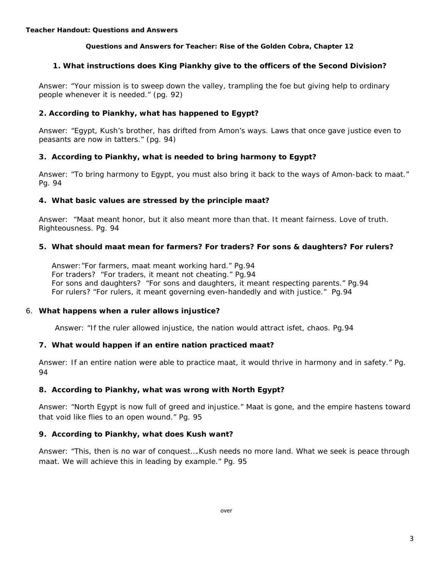#### **Questions and Answers for Teacher: Rise of the Golden Cobra, Chapter 12**

## **1. What instructions does King Piankhy give to the officers of the Second Division?**

Answer: "Your mission is to sweep down the valley, trampling the foe but giving help to ordinary people whenever it is needed." (pg. 92)

## **2. According to Piankhy, what has happened to Egypt?**

Answer: "Egypt, Kush's brother, has drifted from Amon's ways. Laws that once gave justice even to peasants are now in tatters." (pg. 94)

#### **3. According to Piankhy, what is needed to bring harmony to Egypt?**

Answer: "To bring harmony to Egypt, you must also bring it back to the ways of Amon-back to *maat*." Pg. 94

#### **4. What basic values are stressed by the principle** *maat***?**

Answer: "*Maat* meant honor, but it also meant more than that. It meant fairness. Love of truth. Righteousness. Pg. 94

#### **5. What should** *maat* **mean for farmers? For traders? For sons & daughters? For rulers?**

Answer:"For farmers, *maat* meant working hard." Pg.94 For traders? "For traders, it meant not cheating." Pg.94 For sons and daughters? "For sons and daughters, it meant respecting parents." Pg.94 For rulers? "For rulers, it meant governing even-handedly and with justice." Pg.94

#### 6. **What happens when a ruler allows injustice?**

Answer: "If the ruler allowed injustice, the nation would attract *isfet*, chaos. Pg.94

## **7. What would happen if an entire nation practiced** *maat***?**

Answer: If an entire nation were able to practice *maat*, it would thrive in harmony and in safety." Pg. 94

## **8. According to Piankhy, what was wrong with North Egypt?**

Answer: "North Egypt is now full of greed and injustice." *Maat* is gone, and the empire hastens toward that void like flies to an open wound." Pg. 95

## **9. According to Piankhy, what does Kush want?**

Answer: "This, then is no war of conquest….Kush needs no more land. What we seek is peace through *maat*. We will achieve this in leading by example." Pg. 95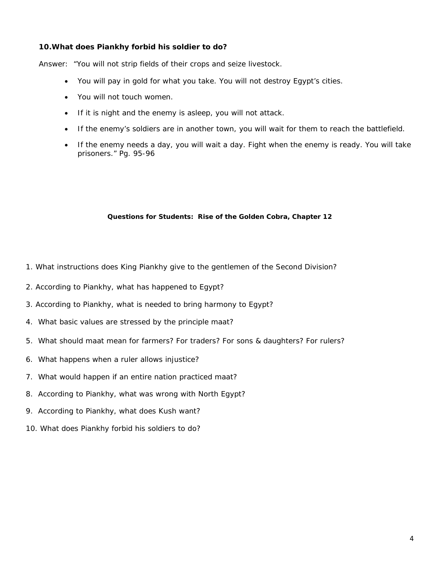## **10.What does Piankhy forbid his soldier to do?**

Answer: "You will not strip fields of their crops and seize livestock.

- You will pay in gold for what you take. You will not destroy Egypt's cities.
- You will not touch women.
- If it is night and the enemy is asleep, you will not attack.
- If the enemy's soldiers are in another town, you will wait for them to reach the battlefield.
- If the enemy needs a day, you will wait a day. Fight when the enemy is ready. You will take prisoners." Pg. 95-96

#### **Questions for Students: Rise of the Golden Cobra, Chapter 12**

- 1. What instructions does King Piankhy give to the gentlemen of the Second Division?
- 2. According to Piankhy, what has happened to Egypt?
- 3. According to Piankhy, what is needed to bring harmony to Egypt?
- 4. What basic values are stressed by the principle *maat*?
- 5. What should *maat* mean for farmers? For traders? For sons & daughters? For rulers?
- 6. What happens when a ruler allows injustice?
- 7. What would happen if an entire nation practiced *maat*?
- 8. According to Piankhy, what was wrong with North Egypt?
- 9. According to Piankhy, what does Kush want?
- 10. What does Piankhy forbid his soldiers to do?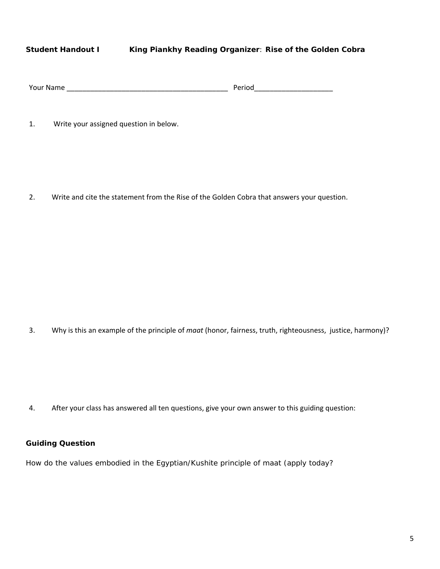# **Student Handout I King Piankhy Reading Organizer**: **Rise of the Golden Cobra**

| <b>Your Name</b> | ∍rion |
|------------------|-------|
|                  |       |

1. Write your assigned question in below.

2. Write and cite the statement from the Rise of the Golden Cobra that answers your question.

3. Why is this an example of the principle of *maat* (honor, fairness, truth, righteousness, justice, harmony)?

4. After your class has answered all ten questions, give your own answer to this guiding question:

# **Guiding Question**

How do the values embodied in the Egyptian/Kushite principle of *maat* (apply today?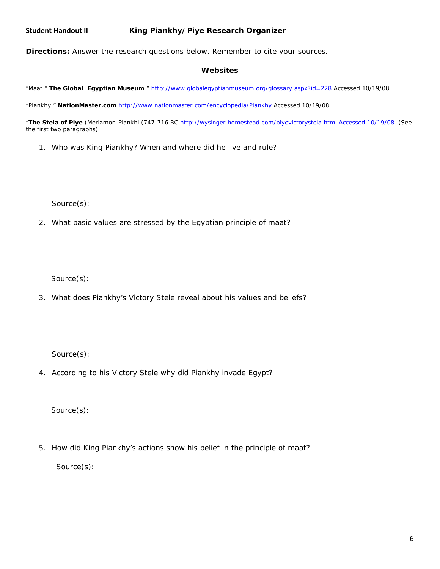**Directions:** Answer the research questions below. Remember to cite your sources.

#### **Websites**

"*Maat*." *The Global Egyptian Museum*." http://www.globalegyptianmuseum.org/glossary.aspx?id=228 Accessed 10/19/08.

"Piankhy." *NationMaster.com* http://www.nationmaster.com/encyclopedia/Piankhy Accessed 10/19/08.

"*The Stela of Piye* (Meriamon-Piankhi (747-716 BC http://wysinger.homestead.com/piyevictorystela.html Accessed 10/19/08. (See the first two paragraphs)

1. Who was King Piankhy? When and where did he live and rule?

Source(s):

2. What basic values are stressed by the Egyptian principle of *maat*?

Source(s):

3. What does Piankhy's Victory Stele reveal about his values and beliefs?

Source(s):

4. According to his Victory Stele why did Piankhy invade Egypt?

Source(s):

5. How did King Piankhy's actions show his belief in the principle of *maat*?

Source(s):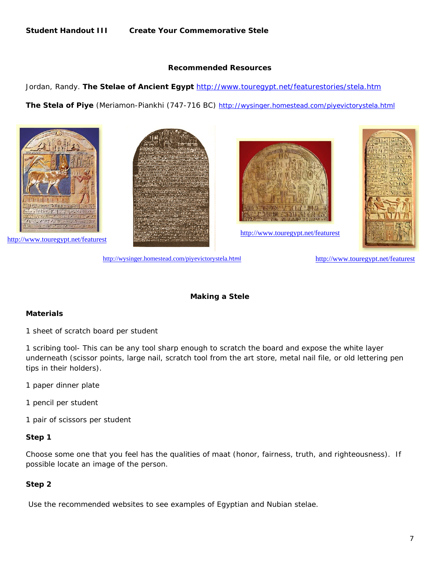## **Recommended Resources**

Jordan, Randy. *The Stelae of Ancient Egypt* http://www.touregypt.net/featurestories/stela.htm

*The Stela of Piye* (Meriamon-Piankhi (747-716 BC) http://wysinger.homestead.com/piyevictorystela.html









http://wysinger.homestead.com/piyevictorystela.html

http://www.touregypt.net/featurest

## **Making a Stele**

## **Materials**

1 sheet of scratch board per student

1 scribing tool- This can be any tool sharp enough to scratch the board and expose the white layer underneath (scissor points, large nail, scratch tool from the art store, metal nail file, or old lettering pen tips in their holders).

- 1 paper dinner plate
- 1 pencil per student
- 1 pair of scissors per student

#### **Step 1**

Choose some one that you feel has the qualities of *maat* (honor, fairness, truth, and righteousness). If possible locate an image of the person.

#### **Step 2**

Use the recommended websites to see examples of Egyptian and Nubian stelae.